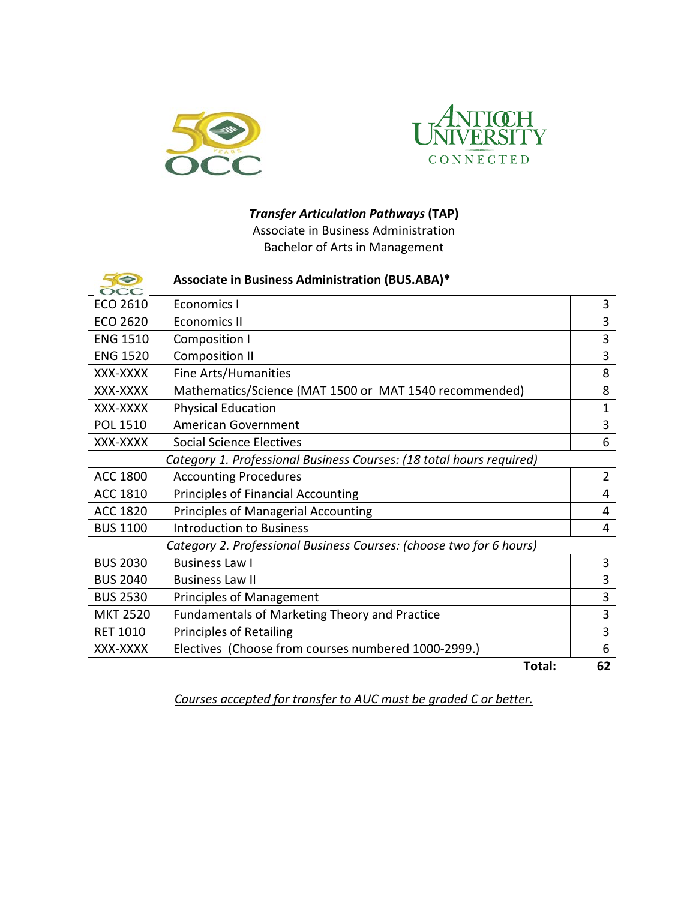



## *Transfer Articulation Pathways* **(TAP)**

Associate in Business Administration Bachelor of Arts in Management

| 50<br>$\Omega$                                                       | Associate in Business Administration (BUS.ABA)*        |    |  |
|----------------------------------------------------------------------|--------------------------------------------------------|----|--|
| ECO 2610                                                             | Economics I                                            | 3  |  |
| ECO 2620                                                             | <b>Economics II</b>                                    |    |  |
| <b>ENG 1510</b>                                                      | <b>Composition I</b>                                   |    |  |
| <b>ENG 1520</b>                                                      | <b>Composition II</b>                                  |    |  |
| XXX-XXXX                                                             | Fine Arts/Humanities                                   |    |  |
| XXX-XXXX                                                             | Mathematics/Science (MAT 1500 or MAT 1540 recommended) |    |  |
| XXX-XXXX                                                             | <b>Physical Education</b>                              | 1  |  |
| POL 1510                                                             | <b>American Government</b>                             | 3  |  |
| XXX-XXXX                                                             | <b>Social Science Electives</b>                        | 6  |  |
| Category 1. Professional Business Courses: (18 total hours required) |                                                        |    |  |
| ACC 1800                                                             | <b>Accounting Procedures</b>                           | 2  |  |
| ACC 1810                                                             | <b>Principles of Financial Accounting</b>              | 4  |  |
| <b>ACC 1820</b>                                                      | Principles of Managerial Accounting                    | 4  |  |
| <b>BUS 1100</b>                                                      | <b>Introduction to Business</b>                        | 4  |  |
| Category 2. Professional Business Courses: (choose two for 6 hours)  |                                                        |    |  |
| <b>BUS 2030</b>                                                      | <b>Business Law I</b>                                  | 3  |  |
| <b>BUS 2040</b>                                                      | <b>Business Law II</b>                                 | 3  |  |
| <b>BUS 2530</b>                                                      | <b>Principles of Management</b>                        | 3  |  |
| <b>MKT 2520</b>                                                      | Fundamentals of Marketing Theory and Practice          | 3  |  |
| <b>RET 1010</b>                                                      | <b>Principles of Retailing</b>                         |    |  |
| XXX-XXXX                                                             | Electives (Choose from courses numbered 1000-2999.)    | 6  |  |
|                                                                      | Total:                                                 | 62 |  |

*Courses accepted for transfer to AUC must be graded C or better.*